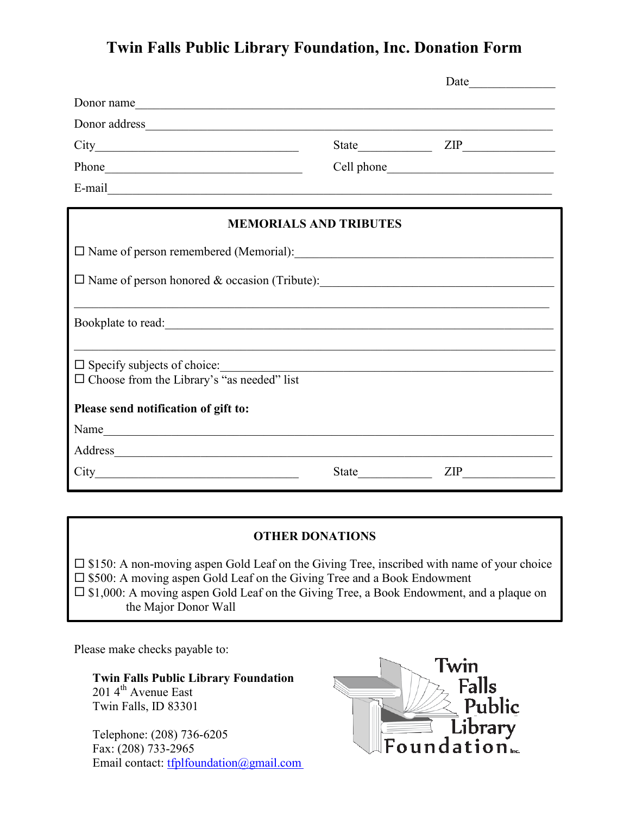## **Twin Falls Public Library Foundation, Inc. Donation Form**

| Donor name                                                                              |                                                       |                |
|-----------------------------------------------------------------------------------------|-------------------------------------------------------|----------------|
|                                                                                         |                                                       |                |
|                                                                                         |                                                       |                |
|                                                                                         |                                                       |                |
|                                                                                         |                                                       |                |
| <b>MEMORIALS AND TRIBUTES</b>                                                           |                                                       |                |
|                                                                                         |                                                       |                |
| □ Name of person honored & occasion (Tribute):                                          |                                                       |                |
|                                                                                         |                                                       |                |
| $\Box$ Specify subjects of choice:<br>$\Box$ Choose from the Library's "as needed" list | <u> 1989 - Paris Amerikaanse kommunister († 1908)</u> |                |
| Please send notification of gift to:                                                    |                                                       |                |
| Name                                                                                    |                                                       |                |
| Address                                                                                 |                                                       |                |
|                                                                                         |                                                       | $\mathsf{ZIP}$ |

#### **OTHER DONATIONS**

 $\square$  \$150: A non-moving aspen Gold Leaf on the Giving Tree, inscribed with name of your choice  $\square$  \$500: A moving aspen Gold Leaf on the Giving Tree and a Book Endowment  $\square$  \$1,000: A moving aspen Gold Leaf on the Giving Tree, a Book Endowment, and a plaque on the Major Donor Wall

Please make checks payable to:

**Twin Falls Public Library Foundation**  201 4<sup>th</sup> Avenue East Twin Falls, ID 83301

Telephone: (208) 736-6205 Fax: (208) 733-2965 Email contact: [tfplfoundation@gmail.com](mailto:tfplfoundation@gmail.com?subject=TFPL%20Foundation%20Donation%20Form)